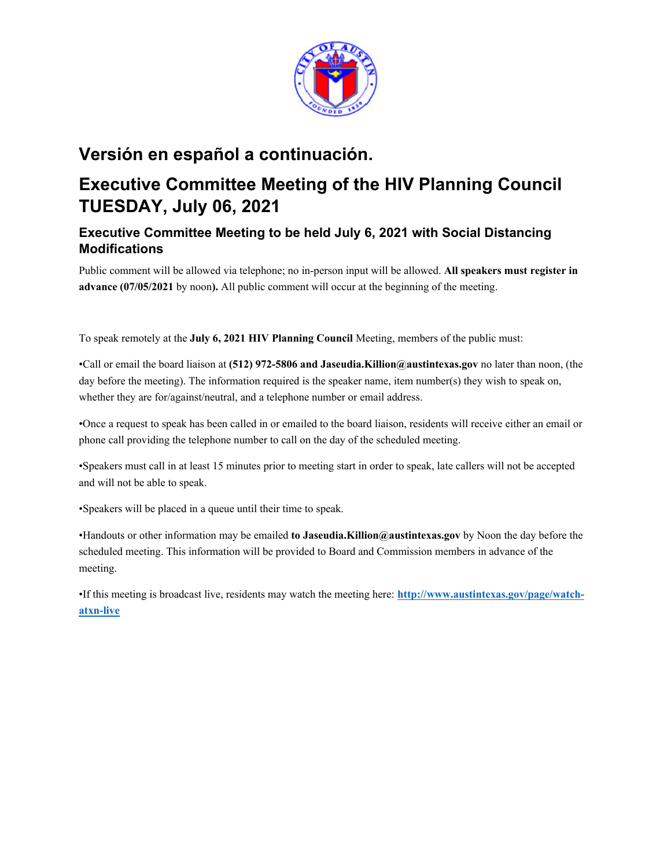

# **Versión en español a continuación.**

# **Executive Committee Meeting of the HIV Planning Council TUESDAY, July 06, 2021**

# **Executive Committee Meeting to be held July 6, 2021 with Social Distancing Modifications**

Public comment will be allowed via telephone; no in-person input will be allowed. **All speakers must register in advance (07/05/2021** by noon**).** All public comment will occur at the beginning of the meeting.

To speak remotely at the **July 6, 2021 HIV Planning Council** Meeting, members of the public must:

•Call or email the board liaison at **(512) 972-5806 and Jaseudia.Killion@austintexas.gov** no later than noon, (the day before the meeting). The information required is the speaker name, item number(s) they wish to speak on, whether they are for/against/neutral, and a telephone number or email address.

•Once a request to speak has been called in or emailed to the board liaison, residents will receive either an email or phone call providing the telephone number to call on the day of the scheduled meeting.

•Speakers must call in at least 15 minutes prior to meeting start in order to speak, late callers will not be accepted and will not be able to speak.

•Speakers will be placed in a queue until their time to speak.

•Handouts or other information may be emailed **to Jaseudia.Killion@austintexas.gov** by Noon the day before the scheduled meeting. This information will be provided to Board and Commission members in advance of the meeting.

•If this meeting is broadcast live, residents may watch the meeting here: **http://www.austintexas.gov/page/watchatxn-live**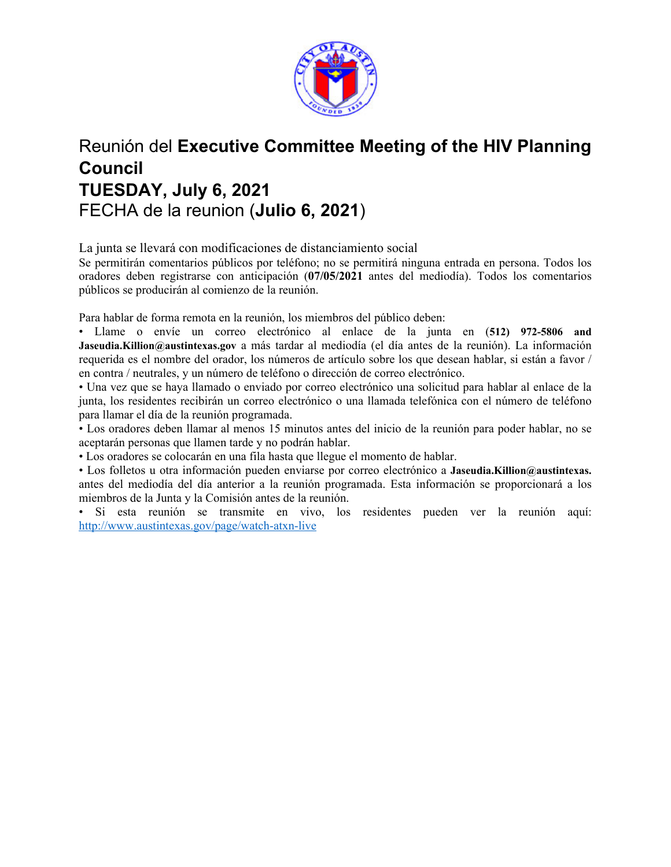

# Reunión del **Executive Committee Meeting of the HIV Planning Council TUESDAY, July 6, 2021**  FECHA de la reunion (**Julio 6, 2021**)

La junta se llevará con modificaciones de distanciamiento social

Se permitirán comentarios públicos por teléfono; no se permitirá ninguna entrada en persona. Todos los oradores deben registrarse con anticipación (**07/05/2021** antes del mediodía). Todos los comentarios públicos se producirán al comienzo de la reunión.

Para hablar de forma remota en la reunión, los miembros del público deben:

• Llame o envíe un correo electrónico al enlace de la junta en (**512) 972-5806 and Jaseudia.Killion@austintexas.gov** a más tardar al mediodía (el día antes de la reunión). La información requerida es el nombre del orador, los números de artículo sobre los que desean hablar, si están a favor / en contra / neutrales, y un número de teléfono o dirección de correo electrónico.

• Una vez que se haya llamado o enviado por correo electrónico una solicitud para hablar al enlace de la junta, los residentes recibirán un correo electrónico o una llamada telefónica con el número de teléfono para llamar el día de la reunión programada.

• Los oradores deben llamar al menos 15 minutos antes del inicio de la reunión para poder hablar, no se aceptarán personas que llamen tarde y no podrán hablar.

• Los oradores se colocarán en una fila hasta que llegue el momento de hablar.

• Los folletos u otra información pueden enviarse por correo electrónico a **Jaseudia.Killion@austintexas.** antes del mediodía del día anterior a la reunión programada. Esta información se proporcionará a los miembros de la Junta y la Comisión antes de la reunión.

• Si esta reunión se transmite en vivo, los residentes pueden ver la reunión aquí: http://www.austintexas.gov/page/watch-atxn-live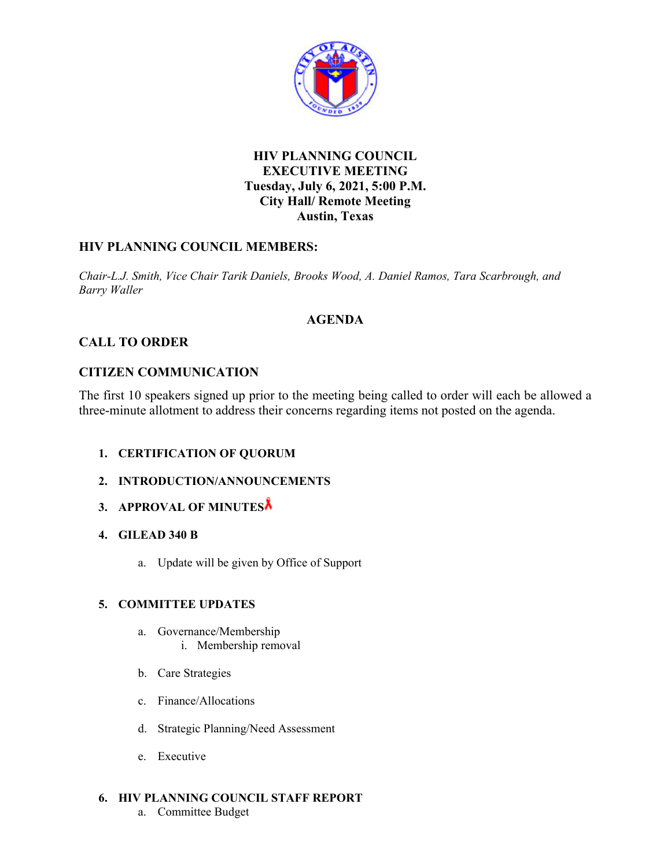

## **HIV PLANNING COUNCIL EXECUTIVE MEETING Tuesday, July 6, 2021, 5:00 P.M. City Hall/ Remote Meeting Austin, Texas**

## **HIV PLANNING COUNCIL MEMBERS:**

*Chair-L.J. Smith, Vice Chair Tarik Daniels, Brooks Wood, A. Daniel Ramos, Tara Scarbrough, and Barry Waller* 

### **AGENDA**

## **CALL TO ORDER**

## **CITIZEN COMMUNICATION**

The first 10 speakers signed up prior to the meeting being called to order will each be allowed a three-minute allotment to address their concerns regarding items not posted on the agenda.

- **1. CERTIFICATION OF QUORUM**
- **2. INTRODUCTION/ANNOUNCEMENTS**
- **3. APPROVAL OF MINUTES**
- **4. GILEAD 340 B** 
	- a. Update will be given by Office of Support

### **5. COMMITTEE UPDATES**

- a. Governance/Membership
	- i. Membership removal
- b. Care Strategies
- c. Finance/Allocations
- d. Strategic Planning/Need Assessment
- e. Executive

### **6. HIV PLANNING COUNCIL STAFF REPORT**

a. Committee Budget